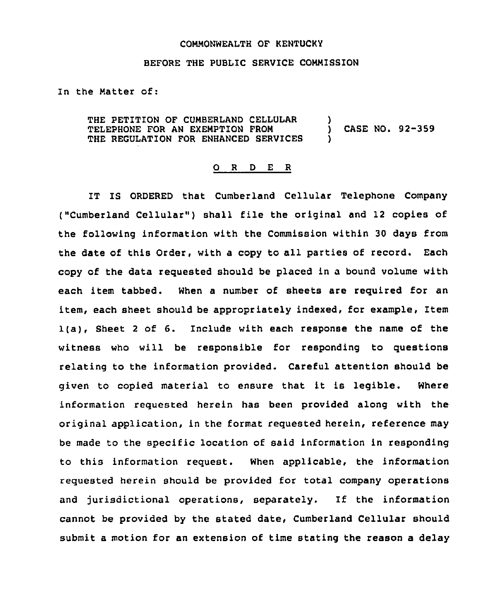## COMMONWEALTH OF KENTUCKY

## BEFORE THE PUBLIC SERVICE COMMISSION

In the Matter of:

THE PETITION OF CUMBERLAND CELLULAR (1997)<br>
TELEPHONE FOR AN EXEMPTION FROM TELEPHONE FOR AN EXEMPTION FROM (CASE NO. 92-359) THE REGULATION FOR ENHANCED SERVICES

## 0 <sup>R</sup> <sup>D</sup> E <sup>R</sup>

IT IS ORDERED that Cumberland Cellular Telephone Company ("Cumberland Cellular" ) shall file the original and <sup>12</sup> copies of the following information with the Commission within 30 days from the date of this Order, with a copy to all parties of record, Each copy of the data requested should be placed in a bound volume with each item tabbed. When a number of sheets are required for an item, each sheet should be appropriately indexed, for example, Item 1(a), Sheet <sup>2</sup> of 6. Include with each response the name of the witness who will be responsible for responding to questions relating to the information provided. Careful attention should be given to copied material to ensure that it is legible. Where information requested herein has been provided along with the original application, in the format requested herein, reference may be made to the specific location of said information in responding to this information request. When applicable, the information requested herein should be provided for total company operations and jurisdictional operations, separately. If the information cannot be provided by the stated date, Cumberland Cellular should submit a motion for an extension of time stating the reason a delay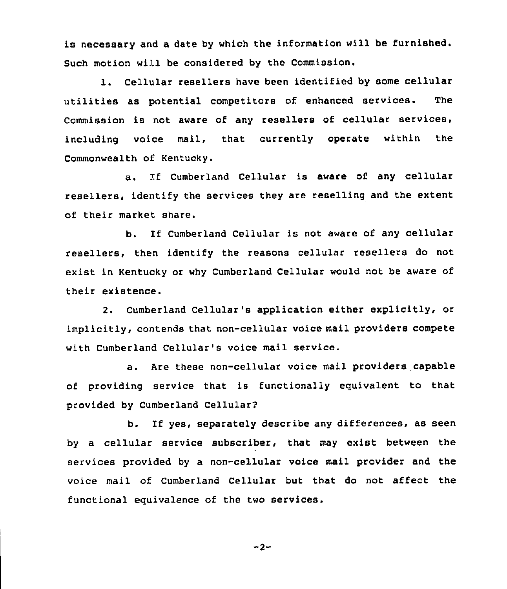is necessary and a date by which the information will be furnished. Such motion will be considered by the Commission.

1. Cellular resellers have been identified by some cellular utilities as potential competitors of enhanced services. The Commission is not aware of any resellers of cellular services, including voice mail, that currently operate within the Commonwealth of Kentucky.

a. If Cumberland Cellular is aware of any cellular resellers, identify the services they are reselling and the extent of their market share.

b. If Cumberland Cellular is not aware of any cellular resellers, then identify the reasons cellular resellers do not exist in Kentucky or why Cumberland Cellular would not be aware of their existence.

2. Cumberland Cellular's application either explicitly, or implicitly, contends that non-cellular voice mail providers compete with Cumberland Cellular's voice mail service.

a. Are these non-cellular voice mail providers capable of providing service that is functionally equivalent to that provided by Cumberland Cellular?

b. If yes, separately describe any differences, as seen by a cellular service subscriber, that may exist between the services provided by a non-cellular voice mail provider and the voice mail of Cumberland Cellular but that do not affect the functional equivalence of the two services.

 $-2-$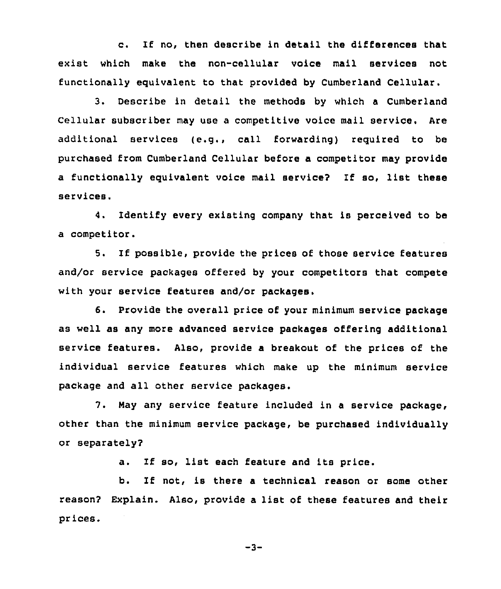c. If no, then describe in detail the differences that exist which make the non-cellular voice mail services not functionally equivalent to that provided by Cumberland Cellular.

3. Describe in detail the methods by which a Cumberland Cellular subscriber may use a competitive voice mail service. Are additional services (e.g., call forwarding) required to be purchased from Cumberland Cellular before a competitor may provide <sup>a</sup> functionally equivalent voice mail service? If so, list these services.

4. Identify every existing company that is perceived to be a competitor.

5. If possible, provide the prices of those service features and/or service packages offered by your competitors that compete with your service features and/or packages.

6. Provide the overall price of your minimum service package as well as any more advanced service packages offering additional service features. Also, provide a breakout of the prices of the individual service features which make up the minimum service package and all other service packages.

7. Nay any service feature included in <sup>a</sup> service package, other than the minimum service package, be purchased individually or separately?

a. If so, list each feature and its price.

b. If not, is there a technical reason or some other reason? Explain. Also, provide <sup>a</sup> list of these features and their prices.

 $-3-$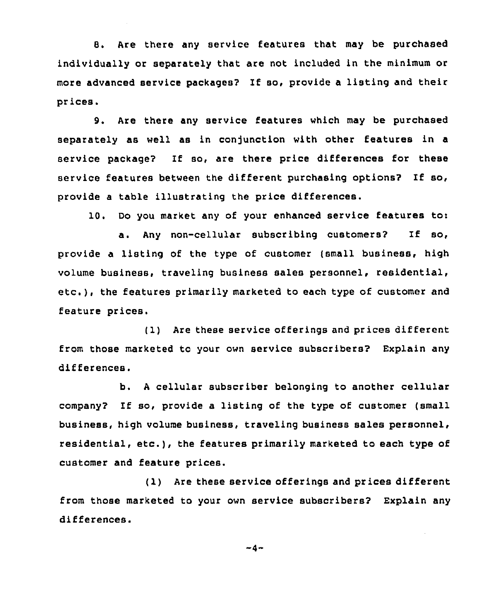8. Are there any service features that may be purchased individually or separately that are not included in the minimum or more advanced service packages? If so, provide <sup>a</sup> listing and their prices,

9. Are there any service features which may be purchased separately as well as in conjunction with other features in a service package? If so, are there price differences for these service features between the different purchasing options? If so, provide a table illustrating the price differences.

10. Do you market any of your enhanced service features to:

a. Any non-cellular subscribing customers? If so, provide a listing of the type of customer (small business, high volume business, traveling business sales personnel, residential, etc.), the features primarily marketed to each type of customer and feature prices.

(1) Are these service offerings and prices different from those marketed to your own service subscribers? Explain any differences.

b. <sup>A</sup> cellular subscriber belonging to another cellular company? If so, provide <sup>a</sup> listing of the type of customer (small business, high volume business, traveling business sales personnel, residential, etc.), the features primarily marketed to each type of customer and feature prices.

(1) Are these service offerings and prices different from those marketed to your own service subscribers? Explain any differences.

 $-4-$